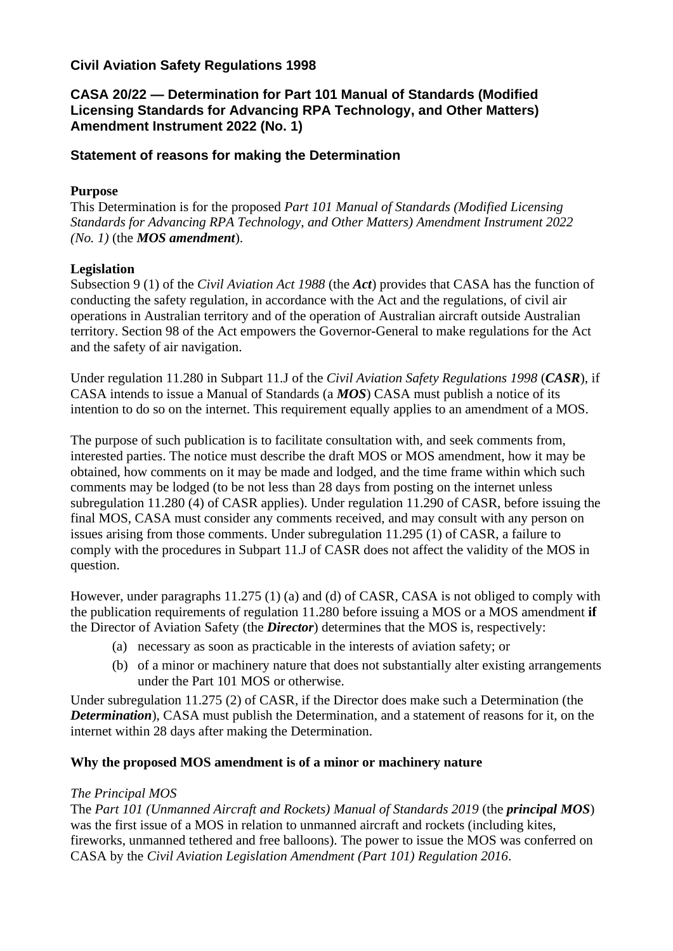# **Civil Aviation Safety Regulations 1998**

# **CASA 20/22 — Determination for Part 101 Manual of Standards (Modified Licensing Standards for Advancing RPA Technology, and Other Matters) Amendment Instrument 2022 (No. 1)**

## **Statement of reasons for making the Determination**

# **Purpose**

This Determination is for the proposed *Part 101 Manual of Standards (Modified Licensing Standards for Advancing RPA Technology, and Other Matters) Amendment Instrument 2022 (No. 1)* (the *MOS amendment*).

# **Legislation**

Subsection 9 (1) of the *Civil Aviation Act 1988* (the *Act*) provides that CASA has the function of conducting the safety regulation, in accordance with the Act and the regulations, of civil air operations in Australian territory and of the operation of Australian aircraft outside Australian territory. Section 98 of the Act empowers the Governor-General to make regulations for the Act and the safety of air navigation.

Under regulation 11.280 in Subpart 11.J of the *Civil Aviation Safety Regulations 1998* (*CASR*), if CASA intends to issue a Manual of Standards (a *MOS*) CASA must publish a notice of its intention to do so on the internet. This requirement equally applies to an amendment of a MOS.

The purpose of such publication is to facilitate consultation with, and seek comments from, interested parties. The notice must describe the draft MOS or MOS amendment, how it may be obtained, how comments on it may be made and lodged, and the time frame within which such comments may be lodged (to be not less than 28 days from posting on the internet unless subregulation 11.280 (4) of CASR applies). Under regulation 11.290 of CASR, before issuing the final MOS, CASA must consider any comments received, and may consult with any person on issues arising from those comments. Under subregulation 11.295 (1) of CASR, a failure to comply with the procedures in Subpart 11.J of CASR does not affect the validity of the MOS in question.

However, under paragraphs 11.275 (1) (a) and (d) of CASR, CASA is not obliged to comply with the publication requirements of regulation 11.280 before issuing a MOS or a MOS amendment **if**  the Director of Aviation Safety (the *Director*) determines that the MOS is, respectively:

- (a) necessary as soon as practicable in the interests of aviation safety; or
- (b) of a minor or machinery nature that does not substantially alter existing arrangements under the Part 101 MOS or otherwise.

Under subregulation 11.275 (2) of CASR, if the Director does make such a Determination (the *Determination*), CASA must publish the Determination, and a statement of reasons for it, on the internet within 28 days after making the Determination.

## **Why the proposed MOS amendment is of a minor or machinery nature**

## *The Principal MOS*

The *Part 101 (Unmanned Aircraft and Rockets) Manual of Standards 2019* (the *principal MOS*) was the first issue of a MOS in relation to unmanned aircraft and rockets (including kites, fireworks, unmanned tethered and free balloons). The power to issue the MOS was conferred on CASA by the *Civil Aviation Legislation Amendment (Part 101) Regulation 2016*.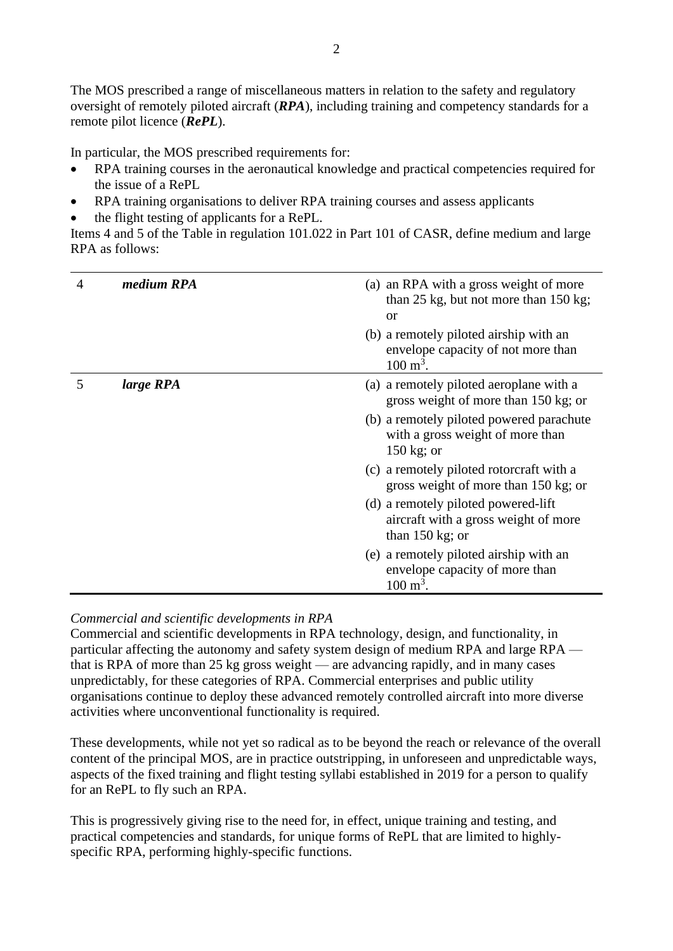The MOS prescribed a range of miscellaneous matters in relation to the safety and regulatory oversight of remotely piloted aircraft (*RPA*), including training and competency standards for a remote pilot licence (*RePL*).

In particular, the MOS prescribed requirements for:

- RPA training courses in the aeronautical knowledge and practical competencies required for the issue of a RePL
- RPA training organisations to deliver RPA training courses and assess applicants
- the flight testing of applicants for a RePL.

Items 4 and 5 of the Table in regulation 101.022 in Part 101 of CASR, define medium and large RPA as follows:

| 4 | medium RPA | (a) an RPA with a gross weight of more<br>than 25 kg, but not more than 150 kg;<br><b>or</b>              |
|---|------------|-----------------------------------------------------------------------------------------------------------|
|   |            | (b) a remotely piloted airship with an<br>envelope capacity of not more than<br>$100 \text{ m}^3$ .       |
| 5 | large RPA  | (a) a remotely piloted aeroplane with a<br>gross weight of more than 150 kg; or                           |
|   |            | (b) a remotely piloted powered parachute<br>with a gross weight of more than<br>$150 \text{ kg}$ ; or     |
|   |            | (c) a remotely piloted rotorcraft with a<br>gross weight of more than 150 kg; or                          |
|   |            | (d) a remotely piloted powered-lift<br>aircraft with a gross weight of more<br>than $150 \text{ kg}$ ; or |
|   |            | (e) a remotely piloted airship with an<br>envelope capacity of more than<br>$100 \text{ m}^3$ .           |

## *Commercial and scientific developments in RPA*

Commercial and scientific developments in RPA technology, design, and functionality, in particular affecting the autonomy and safety system design of medium RPA and large RPA that is RPA of more than 25 kg gross weight — are advancing rapidly, and in many cases unpredictably, for these categories of RPA. Commercial enterprises and public utility organisations continue to deploy these advanced remotely controlled aircraft into more diverse activities where unconventional functionality is required.

These developments, while not yet so radical as to be beyond the reach or relevance of the overall content of the principal MOS, are in practice outstripping, in unforeseen and unpredictable ways, aspects of the fixed training and flight testing syllabi established in 2019 for a person to qualify for an RePL to fly such an RPA.

This is progressively giving rise to the need for, in effect, unique training and testing, and practical competencies and standards, for unique forms of RePL that are limited to highlyspecific RPA, performing highly-specific functions.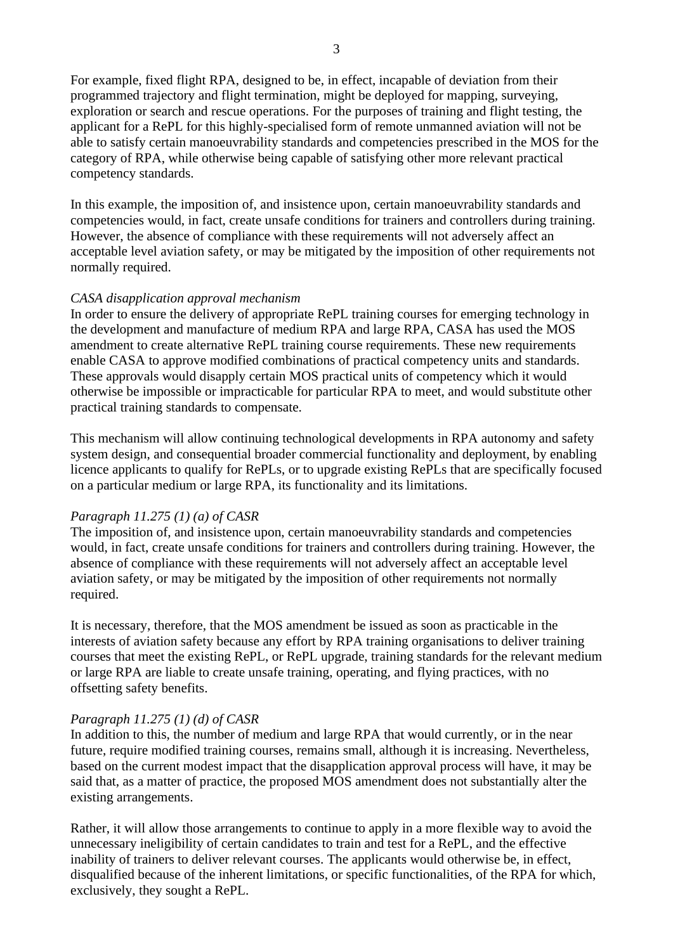For example, fixed flight RPA, designed to be, in effect, incapable of deviation from their programmed trajectory and flight termination, might be deployed for mapping, surveying, exploration or search and rescue operations. For the purposes of training and flight testing, the applicant for a RePL for this highly-specialised form of remote unmanned aviation will not be able to satisfy certain manoeuvrability standards and competencies prescribed in the MOS for the category of RPA, while otherwise being capable of satisfying other more relevant practical competency standards.

In this example, the imposition of, and insistence upon, certain manoeuvrability standards and competencies would, in fact, create unsafe conditions for trainers and controllers during training. However, the absence of compliance with these requirements will not adversely affect an acceptable level aviation safety, or may be mitigated by the imposition of other requirements not normally required.

### *CASA disapplication approval mechanism*

In order to ensure the delivery of appropriate RePL training courses for emerging technology in the development and manufacture of medium RPA and large RPA, CASA has used the MOS amendment to create alternative RePL training course requirements. These new requirements enable CASA to approve modified combinations of practical competency units and standards. These approvals would disapply certain MOS practical units of competency which it would otherwise be impossible or impracticable for particular RPA to meet, and would substitute other practical training standards to compensate.

This mechanism will allow continuing technological developments in RPA autonomy and safety system design, and consequential broader commercial functionality and deployment, by enabling licence applicants to qualify for RePLs, or to upgrade existing RePLs that are specifically focused on a particular medium or large RPA, its functionality and its limitations.

## *Paragraph 11.275 (1) (a) of CASR*

The imposition of, and insistence upon, certain manoeuvrability standards and competencies would, in fact, create unsafe conditions for trainers and controllers during training. However, the absence of compliance with these requirements will not adversely affect an acceptable level aviation safety, or may be mitigated by the imposition of other requirements not normally required.

It is necessary, therefore, that the MOS amendment be issued as soon as practicable in the interests of aviation safety because any effort by RPA training organisations to deliver training courses that meet the existing RePL, or RePL upgrade, training standards for the relevant medium or large RPA are liable to create unsafe training, operating, and flying practices, with no offsetting safety benefits.

## *Paragraph 11.275 (1) (d) of CASR*

In addition to this, the number of medium and large RPA that would currently, or in the near future, require modified training courses, remains small, although it is increasing. Nevertheless, based on the current modest impact that the disapplication approval process will have, it may be said that, as a matter of practice, the proposed MOS amendment does not substantially alter the existing arrangements.

Rather, it will allow those arrangements to continue to apply in a more flexible way to avoid the unnecessary ineligibility of certain candidates to train and test for a RePL, and the effective inability of trainers to deliver relevant courses. The applicants would otherwise be, in effect, disqualified because of the inherent limitations, or specific functionalities, of the RPA for which, exclusively, they sought a RePL.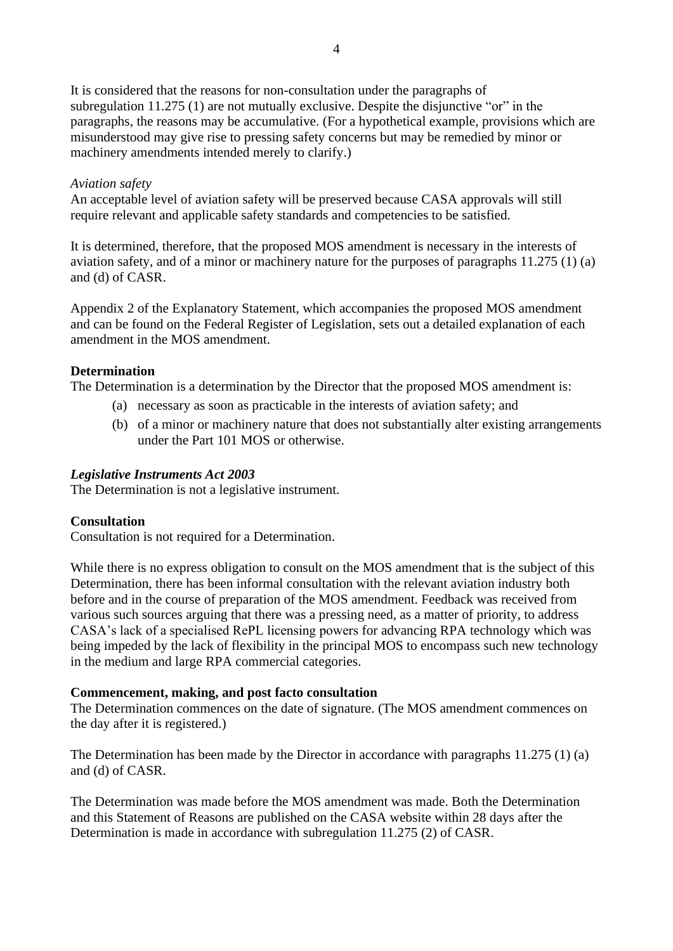It is considered that the reasons for non-consultation under the paragraphs of subregulation 11.275 (1) are not mutually exclusive. Despite the disjunctive "or" in the paragraphs, the reasons may be accumulative. (For a hypothetical example, provisions which are misunderstood may give rise to pressing safety concerns but may be remedied by minor or machinery amendments intended merely to clarify.)

#### *Aviation safety*

An acceptable level of aviation safety will be preserved because CASA approvals will still require relevant and applicable safety standards and competencies to be satisfied.

It is determined, therefore, that the proposed MOS amendment is necessary in the interests of aviation safety, and of a minor or machinery nature for the purposes of paragraphs 11.275 (1) (a) and (d) of CASR.

Appendix 2 of the Explanatory Statement, which accompanies the proposed MOS amendment and can be found on the Federal Register of Legislation, sets out a detailed explanation of each amendment in the MOS amendment.

### **Determination**

The Determination is a determination by the Director that the proposed MOS amendment is:

- (a) necessary as soon as practicable in the interests of aviation safety; and
- (b) of a minor or machinery nature that does not substantially alter existing arrangements under the Part 101 MOS or otherwise.

### *Legislative Instruments Act 2003*

The Determination is not a legislative instrument.

#### **Consultation**

Consultation is not required for a Determination.

While there is no express obligation to consult on the MOS amendment that is the subject of this Determination, there has been informal consultation with the relevant aviation industry both before and in the course of preparation of the MOS amendment. Feedback was received from various such sources arguing that there was a pressing need, as a matter of priority, to address CASA's lack of a specialised RePL licensing powers for advancing RPA technology which was being impeded by the lack of flexibility in the principal MOS to encompass such new technology in the medium and large RPA commercial categories.

#### **Commencement, making, and post facto consultation**

The Determination commences on the date of signature. (The MOS amendment commences on the day after it is registered.)

The Determination has been made by the Director in accordance with paragraphs 11.275 (1) (a) and (d) of CASR.

The Determination was made before the MOS amendment was made. Both the Determination and this Statement of Reasons are published on the CASA website within 28 days after the Determination is made in accordance with subregulation 11.275 (2) of CASR.